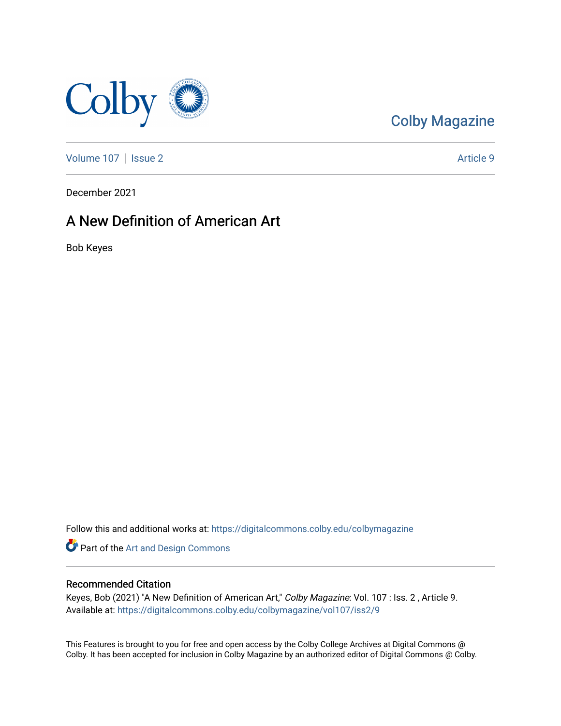

## [Colby Magazine](https://digitalcommons.colby.edu/colbymagazine)

[Volume 107](https://digitalcommons.colby.edu/colbymagazine/vol107) | [Issue 2](https://digitalcommons.colby.edu/colbymagazine/vol107/iss2) Article 9

December 2021

### A New Definition of American Art

Bob Keyes

Follow this and additional works at: [https://digitalcommons.colby.edu/colbymagazine](https://digitalcommons.colby.edu/colbymagazine?utm_source=digitalcommons.colby.edu%2Fcolbymagazine%2Fvol107%2Fiss2%2F9&utm_medium=PDF&utm_campaign=PDFCoverPages)

**Part of the [Art and Design Commons](http://network.bepress.com/hgg/discipline/1049?utm_source=digitalcommons.colby.edu%2Fcolbymagazine%2Fvol107%2Fiss2%2F9&utm_medium=PDF&utm_campaign=PDFCoverPages)** 

#### Recommended Citation

Keyes, Bob (2021) "A New Definition of American Art," Colby Magazine: Vol. 107 : Iss. 2, Article 9. Available at: [https://digitalcommons.colby.edu/colbymagazine/vol107/iss2/9](https://digitalcommons.colby.edu/colbymagazine/vol107/iss2/9?utm_source=digitalcommons.colby.edu%2Fcolbymagazine%2Fvol107%2Fiss2%2F9&utm_medium=PDF&utm_campaign=PDFCoverPages) 

This Features is brought to you for free and open access by the Colby College Archives at Digital Commons @ Colby. It has been accepted for inclusion in Colby Magazine by an authorized editor of Digital Commons @ Colby.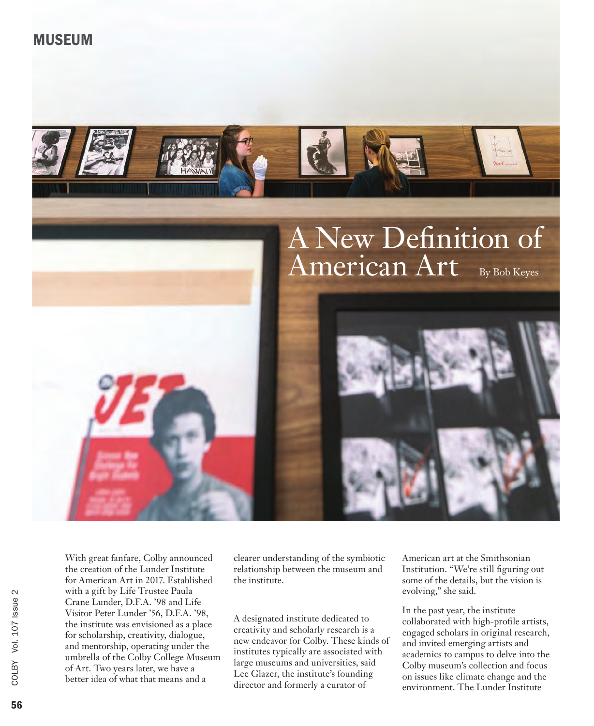With great fanfare, Colby announced the creation of the Lunder Institute for American Art in 2017. Established with a gift by Life Trustee Paula Crane Lunder, D.F.A. '98 and Life Visitor Peter Lunder '56, D.F.A. '98, the institute was envisioned as a place for scholarship, creativity, dialogue, and mentorship, operating under the umbrella of the Colby College Museum of Art. Two years later, we have a better idea of what that means and a

clearer understanding of the symbiotic relationship between the museum and the institute.

A designated institute dedicated to creativity and scholarly research is a new endeavor for Colby. These kinds of institutes typically are associated with large museums and universities, said Lee Glazer, the institute's founding director and formerly a curator of

American art at the Smithsonian Institution. "We're still figuring out some of the details, but the vision is evolving," she said.

In the past year, the institute collaborated with high-profile artists, engaged scholars in original research, and invited emerging artists and academics to campus to delve into the Colby museum's collection and focus on issues like climate change and the environment. The Lunder Institute



## MUSEUM